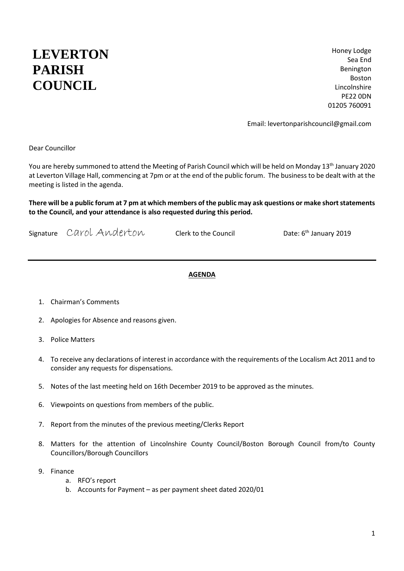## **LEVERTON PARISH COUNCIL**

Honey Lodge Sea End Benington Boston Lincolnshire PE22 0DN 01205 760091

Email: levertonparishcouncil@gmail.com

Dear Councillor

You are hereby summoned to attend the Meeting of Parish Council which will be held on Monday 13<sup>th</sup> January 2020 at Leverton Village Hall, commencing at 7pm or at the end of the public forum. The business to be dealt with at the meeting is listed in the agenda.

**There will be a public forum at 7 pm at which members of the public may ask questions or make short statements to the Council, and your attendance is also requested during this period.** 

Signature Carol Anderton Clerk to the Council <sup>th</sup> January 2019

## **AGENDA**

- 1. Chairman's Comments
- 2. Apologies for Absence and reasons given.
- 3. Police Matters
- 4. To receive any declarations of interest in accordance with the requirements of the Localism Act 2011 and to consider any requests for dispensations.
- 5. Notes of the last meeting held on 16th December 2019 to be approved as the minutes.
- 6. Viewpoints on questions from members of the public.
- 7. Report from the minutes of the previous meeting/Clerks Report
- 8. Matters for the attention of Lincolnshire County Council/Boston Borough Council from/to County Councillors/Borough Councillors
- 9. Finance
	- a. RFO's report
	- b. Accounts for Payment as per payment sheet dated 2020/01